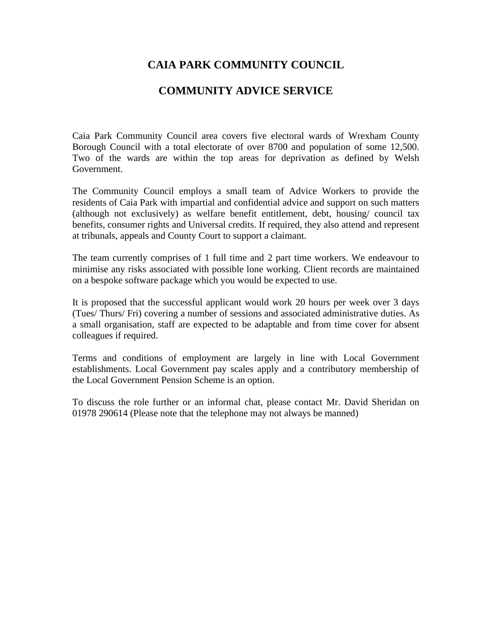# **CAIA PARK COMMUNITY COUNCIL**

### **COMMUNITY ADVICE SERVICE**

Caia Park Community Council area covers five electoral wards of Wrexham County Borough Council with a total electorate of over 8700 and population of some 12,500. Two of the wards are within the top areas for deprivation as defined by Welsh Government.

The Community Council employs a small team of Advice Workers to provide the residents of Caia Park with impartial and confidential advice and support on such matters (although not exclusively) as welfare benefit entitlement, debt, housing/ council tax benefits, consumer rights and Universal credits. If required, they also attend and represent at tribunals, appeals and County Court to support a claimant.

The team currently comprises of 1 full time and 2 part time workers. We endeavour to minimise any risks associated with possible lone working. Client records are maintained on a bespoke software package which you would be expected to use.

It is proposed that the successful applicant would work 20 hours per week over 3 days (Tues/ Thurs/ Fri) covering a number of sessions and associated administrative duties. As a small organisation, staff are expected to be adaptable and from time cover for absent colleagues if required.

Terms and conditions of employment are largely in line with Local Government establishments. Local Government pay scales apply and a contributory membership of the Local Government Pension Scheme is an option.

To discuss the role further or an informal chat, please contact Mr. David Sheridan on 01978 290614 (Please note that the telephone may not always be manned)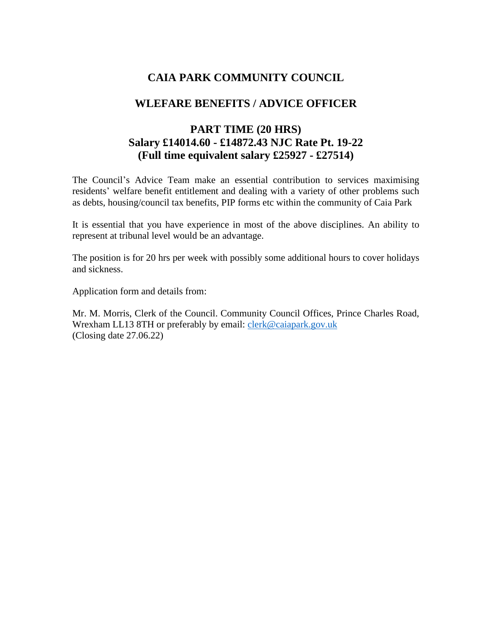### **CAIA PARK COMMUNITY COUNCIL**

### **WLEFARE BENEFITS / ADVICE OFFICER**

# **PART TIME (20 HRS) Salary £14014.60 - £14872.43 NJC Rate Pt. 19-22 (Full time equivalent salary £25927 - £27514)**

The Council's Advice Team make an essential contribution to services maximising residents' welfare benefit entitlement and dealing with a variety of other problems such as debts, housing/council tax benefits, PIP forms etc within the community of Caia Park

It is essential that you have experience in most of the above disciplines. An ability to represent at tribunal level would be an advantage.

The position is for 20 hrs per week with possibly some additional hours to cover holidays and sickness.

Application form and details from:

Mr. M. Morris, Clerk of the Council. Community Council Offices, Prince Charles Road, Wrexham LL13 8TH or preferably by email: [clerk@caiapark.gov.uk](mailto:clerk@caiapark.gov.uk) (Closing date 27.06.22)